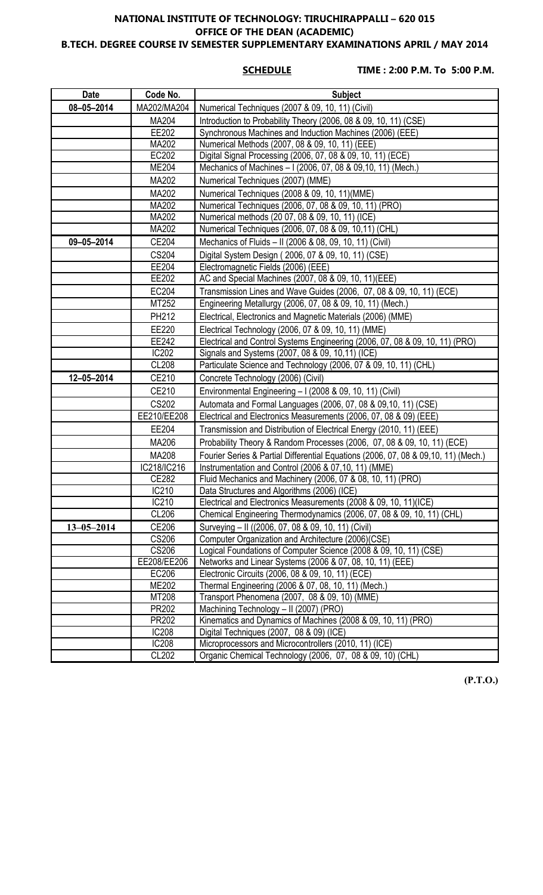### **NATIONAL INSTITUTE OF TECHNOLOGY: TIRUCHIRAPPALLI – 620 015 OFFICE OF THE DEAN (ACADEMIC) B.TECH. DEGREE COURSE IV SEMESTER SUPPLEMENTARY EXAMINATIONS APRIL / MAY 2014**

**SCHEDULE TIME : 2:00 P.M. To 5:00 P.M.**

| Date             | Code No.              | <b>Subject</b>                                                                     |
|------------------|-----------------------|------------------------------------------------------------------------------------|
| 08-05-2014       | MA202/MA204           | Numerical Techniques (2007 & 09, 10, 11) (Civil)                                   |
|                  | MA204                 | Introduction to Probability Theory (2006, 08 & 09, 10, 11) (CSE)                   |
|                  | EE202                 | Synchronous Machines and Induction Machines (2006) (EEE)                           |
|                  | MA202                 | Numerical Methods (2007, 08 & 09, 10, 11) (EEE)                                    |
|                  | EC202                 | Digital Signal Processing (2006, 07, 08 & 09, 10, 11) (ECE)                        |
|                  | <b>ME204</b>          | Mechanics of Machines - I (2006, 07, 08 & 09, 10, 11) (Mech.)                      |
|                  | MA202                 | Numerical Techniques (2007) (MME)                                                  |
|                  | MA202                 | Numerical Techniques (2008 & 09, 10, 11) (MME)                                     |
|                  | <b>MA202</b>          | Numerical Techniques (2006, 07, 08 & 09, 10, 11) (PRO)                             |
|                  | MA202                 | Numerical methods (20 07, 08 & 09, 10, 11) (ICE)                                   |
|                  | MA202                 | Numerical Techniques (2006, 07, 08 & 09, 10,11) (CHL)                              |
| 09-05-2014       | CE204                 | Mechanics of Fluids - II (2006 & 08, 09, 10, 11) (Civil)                           |
|                  | CS204                 | Digital System Design (2006, 07 & 09, 10, 11) (CSE)                                |
|                  | EE204                 | Electromagnetic Fields (2006) (EEE)                                                |
|                  | EE202                 | AC and Special Machines (2007, 08 & 09, 10, 11)(EEE)                               |
|                  | EC204                 | Transmission Lines and Wave Guides (2006, 07, 08 & 09, 10, 11) (ECE)               |
|                  | MT252                 | Engineering Metallurgy (2006, 07, 08 & 09, 10, 11) (Mech.)                         |
|                  | PH212                 | Electrical, Electronics and Magnetic Materials (2006) (MME)                        |
|                  | EE220                 | Electrical Technology (2006, 07 & 09, 10, 11) (MME)                                |
|                  | EE242                 | Electrical and Control Systems Engineering (2006, 07, 08 & 09, 10, 11) (PRO)       |
|                  | <b>IC202</b>          | Signals and Systems (2007, 08 & 09, 10,11) (ICE)                                   |
|                  | <b>CL208</b>          | Particulate Science and Technology (2006, 07 & 09, 10, 11) (CHL)                   |
| $12 - 05 - 2014$ | CE210                 | Concrete Technology (2006) (Civil)                                                 |
|                  | CE210                 | Environmental Engineering - I (2008 & 09, 10, 11) (Civil)                          |
|                  | <b>CS202</b>          | Automata and Formal Languages (2006, 07, 08 & 09,10, 11) (CSE)                     |
|                  | EE210/EE208           | Electrical and Electronics Measurements (2006, 07, 08 & 09) (EEE)                  |
|                  | EE204                 | Transmission and Distribution of Electrical Energy (2010, 11) (EEE)                |
|                  | MA206                 | Probability Theory & Random Processes (2006, 07, 08 & 09, 10, 11) (ECE)            |
|                  | MA208                 | Fourier Series & Partial Differential Equations (2006, 07, 08 & 09,10, 11) (Mech.) |
|                  | IC218/IC216           | Instrumentation and Control (2006 & 07,10, 11) (MME)                               |
|                  | CE282                 | Fluid Mechanics and Machinery (2006, 07 & 08, 10, 11) (PRO)                        |
|                  | IC210                 | Data Structures and Algorithms (2006) (ICE)                                        |
|                  | IC210                 | Electrical and Electronics Measurements (2008 & 09, 10, 11)(ICE)                   |
|                  | CL206                 | Chemical Engineering Thermodynamics (2006, 07, 08 & 09, 10, 11) (CHL)              |
| $13 - 05 - 2014$ | CE206                 | Surveying - II ((2006, 07, 08 & 09, 10, 11) (Civil)                                |
|                  | <b>CS206</b>          | Computer Organization and Architecture (2006)(CSE)                                 |
|                  | <b>CS206</b>          | Logical Foundations of Computer Science (2008 & 09, 10, 11) (CSE)                  |
|                  | EE208/EE206           | Networks and Linear Systems (2006 & 07, 08, 10, 11) (EEE)                          |
|                  | EC206                 | Electronic Circuits (2006, 08 & 09, 10, 11) (ECE)                                  |
|                  | <b>ME202</b>          | Thermal Engineering (2006 & 07, 08, 10, 11) (Mech.)                                |
|                  | MT208                 | Transport Phenomena (2007, 08 & 09, 10) (MME)                                      |
|                  | PR202                 | Machining Technology - II (2007) (PRO)                                             |
|                  | PR202                 | Kinematics and Dynamics of Machines (2008 & 09, 10, 11) (PRO)                      |
|                  | <b>IC208</b>          | Digital Techniques (2007, 08 & 09) (ICE)                                           |
|                  | <b>IC208</b><br>CL202 | Microprocessors and Microcontrollers (2010, 11) (ICE)                              |
|                  |                       | Organic Chemical Technology (2006, 07, 08 & 09, 10) (CHL)                          |

**(P.T.O.)**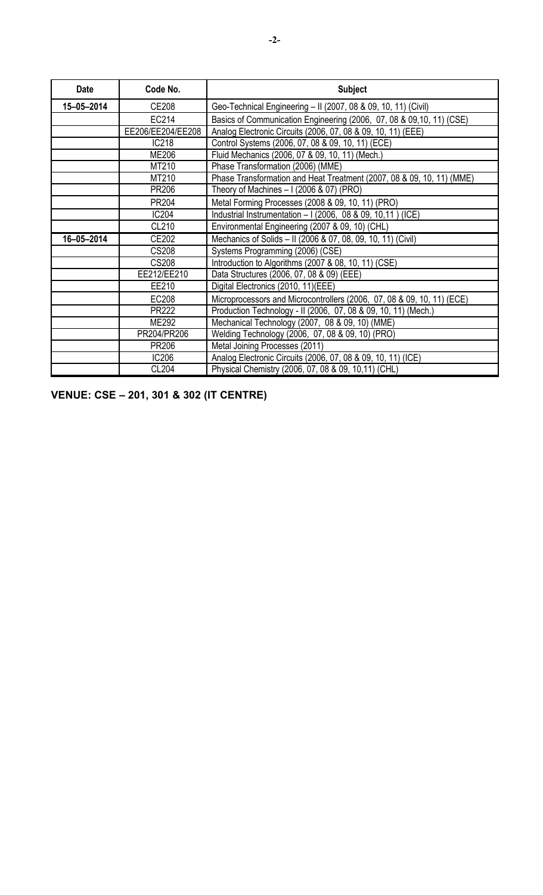| <b>Date</b> | Code No.          | <b>Subject</b>                                                         |
|-------------|-------------------|------------------------------------------------------------------------|
| 15-05-2014  | CE208             | Geo-Technical Engineering - II (2007, 08 & 09, 10, 11) (Civil)         |
|             | EC214             | Basics of Communication Engineering (2006, 07, 08 & 09,10, 11) (CSE)   |
|             | EE206/EE204/EE208 | Analog Electronic Circuits (2006, 07, 08 & 09, 10, 11) (EEE)           |
|             | <b>IC218</b>      | Control Systems (2006, 07, 08 & 09, 10, 11) (ECE)                      |
|             | <b>ME206</b>      | Fluid Mechanics (2006, 07 & 09, 10, 11) (Mech.)                        |
|             | MT210             | Phase Transformation (2006) (MME)                                      |
|             | MT210             | Phase Transformation and Heat Treatment (2007, 08 & 09, 10, 11) (MME)  |
|             | PR206             | Theory of Machines $-1(2006 \& 07)(PRO)$                               |
|             | PR204             | Metal Forming Processes (2008 & 09, 10, 11) (PRO)                      |
|             | <b>IC204</b>      | Industrial Instrumentation - I (2006, 08 & 09, 10,11) (ICE)            |
|             | CL210             | Environmental Engineering (2007 & 09, 10) (CHL)                        |
| 16-05-2014  | CE202             | Mechanics of Solids - II (2006 & 07, 08, 09, 10, 11) (Civil)           |
|             | <b>CS208</b>      | Systems Programming (2006) (CSE)                                       |
|             | CS208             | Introduction to Algorithms (2007 & 08, 10, 11) (CSE)                   |
|             | EE212/EE210       | Data Structures (2006, 07, 08 & 09) (EEE)                              |
|             | EE210             | Digital Electronics (2010, 11)(EEE)                                    |
|             | EC208             | Microprocessors and Microcontrollers (2006, 07, 08 & 09, 10, 11) (ECE) |
|             | PR222             | Production Technology - II (2006, 07, 08 & 09, 10, 11) (Mech.)         |
|             | ME292             | Mechanical Technology (2007, 08 & 09, 10) (MME)                        |
|             | PR204/PR206       | Welding Technology (2006, 07, 08 & 09, 10) (PRO)                       |
|             | PR206             | Metal Joining Processes (2011)                                         |
|             | <b>IC206</b>      | Analog Electronic Circuits (2006, 07, 08 & 09, 10, 11) (ICE)           |
|             | CL204             | Physical Chemistry (2006, 07, 08 & 09, 10,11) (CHL)                    |

**VENUE: CSE – 201, 301 & 302 (IT CENTRE)**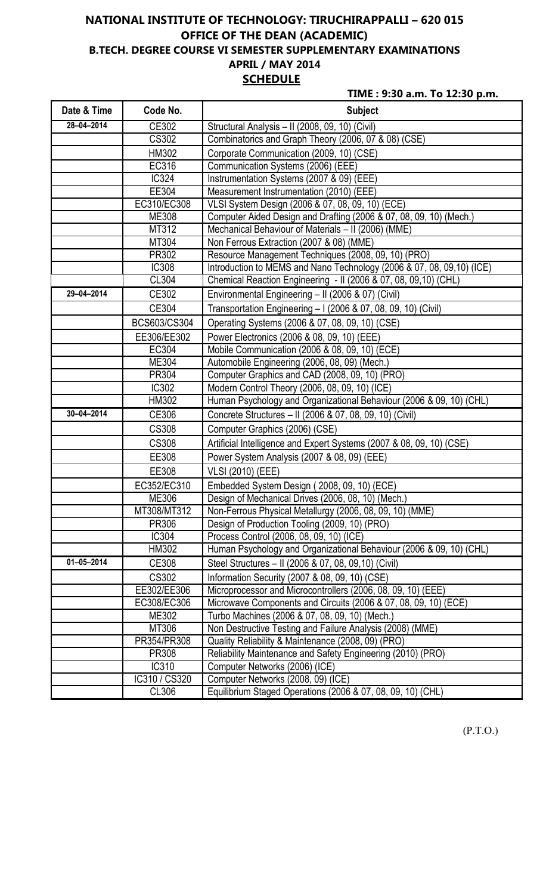# **NATIONAL INSTITUTE OF TECHNOLOGY: TIRUCHIRAPPALLI – 620 015 OFFICE OF THE DEAN (ACADEMIC) B.TECH. DEGREE COURSE VI SEMESTER SUPPLEMENTARY EXAMINATIONS APRIL / MAY 2014 SCHEDULE**

**TIME : 9:30 a.m. To 12:30 p.m.**

| Date & Time      | Code No.      | <b>Subject</b>                                                         |
|------------------|---------------|------------------------------------------------------------------------|
| $28 - 04 - 2014$ | CE302         | Structural Analysis - II (2008, 09, 10) (Civil)                        |
|                  | <b>CS302</b>  | Combinatorics and Graph Theory (2006, 07 & 08) (CSE)                   |
|                  | HM302         | Corporate Communication (2009, 10) (CSE)                               |
|                  | EC316         | Communication Systems (2006) (EEE)                                     |
|                  | <b>IC324</b>  | Instrumentation Systems (2007 & 09) (EEE)                              |
|                  | EE304         | Measurement Instrumentation (2010) (EEE)                               |
|                  | EC310/EC308   | VLSI System Design (2006 & 07, 08, 09, 10) (ECE)                       |
|                  | ME308         | Computer Aided Design and Drafting (2006 & 07, 08, 09, 10) (Mech.)     |
|                  | MT312         | Mechanical Behaviour of Materials - II (2006) (MME)                    |
|                  | MT304         | Non Ferrous Extraction (2007 & 08) (MME)                               |
|                  | PR302         | Resource Management Techniques (2008, 09, 10) (PRO)                    |
|                  | <b>IC308</b>  | Introduction to MEMS and Nano Technology (2006 & 07, 08, 09, 10) (ICE) |
|                  | CL304         | Chemical Reaction Engineering - II (2006 & 07, 08, 09, 10) (CHL)       |
| 29-04-2014       | CE302         | Environmental Engineering - II (2006 & 07) (Civil)                     |
|                  | CE304         | Transportation Engineering - I (2006 & 07, 08, 09, 10) (Civil)         |
|                  | BCS603/CS304  | Operating Systems (2006 & 07, 08, 09, 10) (CSE)                        |
|                  | EE306/EE302   | Power Electronics (2006 & 08, 09, 10) (EEE)                            |
|                  | EC304         | Mobile Communication (2006 & 08, 09, 10) (ECE)                         |
|                  | <b>ME304</b>  | Automobile Engineering (2006, 08, 09) (Mech.)                          |
|                  | PR304         | Computer Graphics and CAD (2008, 09, 10) (PRO)                         |
|                  | <b>IC302</b>  | Modern Control Theory (2006, 08, 09, 10) (ICE)                         |
|                  | HM302         | Human Psychology and Organizational Behaviour (2006 & 09, 10) (CHL)    |
| $30 - 04 - 2014$ | CE306         | Concrete Structures - II (2006 & 07, 08, 09, 10) (Civil)               |
|                  | <b>CS308</b>  | Computer Graphics (2006) (CSE)                                         |
|                  | <b>CS308</b>  | Artificial Intelligence and Expert Systems (2007 & 08, 09, 10) (CSE)   |
|                  | EE308         | Power System Analysis (2007 & 08, 09) (EEE)                            |
|                  | EE308         | <b>VLSI (2010) (EEE)</b>                                               |
|                  | EC352/EC310   | Embedded System Design (2008, 09, 10) (ECE)                            |
|                  | ME306         | Design of Mechanical Drives (2006, 08, 10) (Mech.)                     |
|                  | MT308/MT312   | Non-Ferrous Physical Metallurgy (2006, 08, 09, 10) (MME)               |
|                  | PR306         | Design of Production Tooling (2009, 10) (PRO)                          |
|                  | IC304         | Process Control (2006, 08, 09, 10) (ICE)                               |
|                  | HM302         | Human Psychology and Organizational Behaviour (2006 & 09, 10) (CHL)    |
| $01 - 05 - 2014$ | CE308         | Steel Structures - II (2006 & 07, 08, 09, 10) (Civil)                  |
|                  | <b>CS302</b>  | Information Security (2007 & 08, 09, 10) (CSE)                         |
|                  | EE302/EE306   | Microprocessor and Microcontrollers (2006, 08, 09, 10) (EEE)           |
|                  | EC308/EC306   | Microwave Components and Circuits (2006 & 07, 08, 09, 10) (ECE)        |
|                  | <b>ME302</b>  | Turbo Machines (2006 & 07, 08, 09, 10) (Mech.)                         |
|                  | MT306         | Non Destructive Testing and Failure Analysis (2008) (MME)              |
|                  | PR354/PR308   | Quality Reliability & Maintenance (2008, 09) (PRO)                     |
|                  | PR308         | Reliability Maintenance and Safety Engineering (2010) (PRO)            |
|                  | IC310         | Computer Networks (2006) (ICE)                                         |
|                  | IC310 / CS320 | Computer Networks (2008, 09) (ICE)                                     |
|                  | CL306         | Equilibrium Staged Operations (2006 & 07, 08, 09, 10) (CHL)            |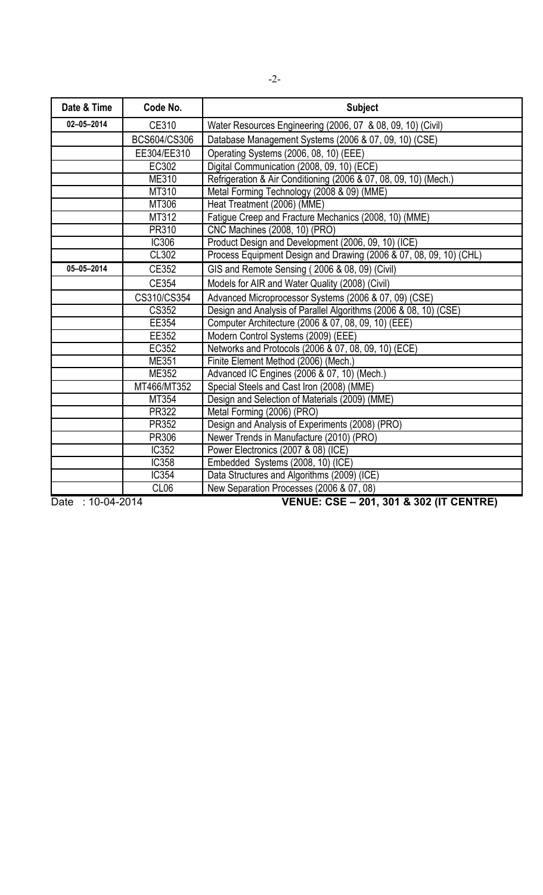| Date & Time      | Code No.         | <b>Subject</b>                                                     |
|------------------|------------------|--------------------------------------------------------------------|
| $02 - 05 - 2014$ | CE310            | Water Resources Engineering (2006, 07 & 08, 09, 10) (Civil)        |
|                  | BCS604/CS306     | Database Management Systems (2006 & 07, 09, 10) (CSE)              |
|                  | EE304/EE310      | Operating Systems (2006, 08, 10) (EEE)                             |
|                  | EC302            | Digital Communication (2008, 09, 10) (ECE)                         |
|                  | ME310            | Refrigeration & Air Conditioning (2006 & 07, 08, 09, 10) (Mech.)   |
|                  | MT310            | Metal Forming Technology (2008 & 09) (MME)                         |
|                  | MT306            | Heat Treatment (2006) (MME)                                        |
|                  | MT312            | Fatigue Creep and Fracture Mechanics (2008, 10) (MME)              |
|                  | PR310            | CNC Machines (2008, 10) (PRO)                                      |
|                  | <b>IC306</b>     | Product Design and Development (2006, 09, 10) (ICE)                |
|                  | <b>CL302</b>     | Process Equipment Design and Drawing (2006 & 07, 08, 09, 10) (CHL) |
| $05 - 05 - 2014$ | CE352            | GIS and Remote Sensing (2006 & 08, 09) (Civil)                     |
|                  | CE354            | Models for AIR and Water Quality (2008) (Civil)                    |
|                  | CS310/CS354      | Advanced Microprocessor Systems (2006 & 07, 09) (CSE)              |
|                  | <b>CS352</b>     | Design and Analysis of Parallel Algorithms (2006 & 08, 10) (CSE)   |
|                  | EE354            | Computer Architecture (2006 & 07, 08, 09, 10) (EEE)                |
|                  | EE352            | Modern Control Systems (2009) (EEE)                                |
|                  | EC352            | Networks and Protocols (2006 & 07, 08, 09, 10) (ECE)               |
|                  | ME351            | Finite Element Method (2006) (Mech.)                               |
|                  | ME352            | Advanced IC Engines (2006 & 07, 10) (Mech.)                        |
|                  | MT466/MT352      | Special Steels and Cast Iron (2008) (MME)                          |
|                  | MT354            | Design and Selection of Materials (2009) (MME)                     |
|                  | PR322            | Metal Forming (2006) (PRO)                                         |
|                  | PR352            | Design and Analysis of Experiments (2008) (PRO)                    |
|                  | PR306            | Newer Trends in Manufacture (2010) (PRO)                           |
|                  | <b>IC352</b>     | Power Electronics (2007 & 08) (ICE)                                |
|                  | <b>IC358</b>     | Embedded Systems (2008, 10) (ICE)                                  |
|                  | <b>IC354</b>     | Data Structures and Algorithms (2009) (ICE)                        |
|                  | CL <sub>06</sub> | New Separation Processes (2006 & 07, 08)                           |

Date : 10-04-2014 **VENUE: CSE – 201, 301 & 302 (IT CENTRE)**